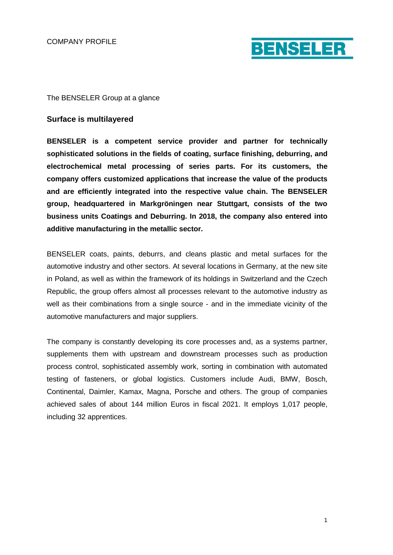

### The BENSELER Group at a glance

### **Surface is multilayered**

**BENSELER is a competent service provider and partner for technically sophisticated solutions in the fields of coating, surface finishing, deburring, and electrochemical metal processing of series parts. For its customers, the company offers customized applications that increase the value of the products and are efficiently integrated into the respective value chain. The BENSELER group, headquartered in Markgröningen near Stuttgart, consists of the two business units Coatings and Deburring. In 2018, the company also entered into additive manufacturing in the metallic sector.**

BENSELER coats, paints, deburrs, and cleans plastic and metal surfaces for the automotive industry and other sectors. At several locations in Germany, at the new site in Poland, as well as within the framework of its holdings in Switzerland and the Czech Republic, the group offers almost all processes relevant to the automotive industry as well as their combinations from a single source - and in the immediate vicinity of the automotive manufacturers and major suppliers.

The company is constantly developing its core processes and, as a systems partner, supplements them with upstream and downstream processes such as production process control, sophisticated assembly work, sorting in combination with automated testing of fasteners, or global logistics. Customers include Audi, BMW, Bosch, Continental, Daimler, Kamax, Magna, Porsche and others. The group of companies achieved sales of about 144 million Euros in fiscal 2021. It employs 1,017 people, including 32 apprentices.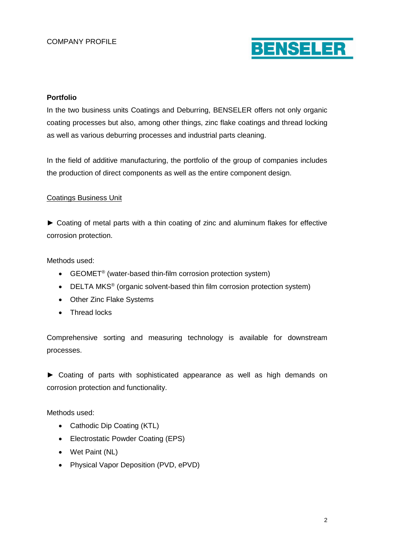

# **Portfolio**

In the two business units Coatings and Deburring, BENSELER offers not only organic coating processes but also, among other things, zinc flake coatings and thread locking as well as various deburring processes and industrial parts cleaning.

In the field of additive manufacturing, the portfolio of the group of companies includes the production of direct components as well as the entire component design.

## Coatings Business Unit

► Coating of metal parts with a thin coating of zinc and aluminum flakes for effective corrosion protection.

Methods used:

- GEOMET<sup>®</sup> (water-based thin-film corrosion protection system)
- DELTA MKS<sup>®</sup> (organic solvent-based thin film corrosion protection system)
- Other Zinc Flake Systems
- Thread locks

Comprehensive sorting and measuring technology is available for downstream processes.

► Coating of parts with sophisticated appearance as well as high demands on corrosion protection and functionality.

Methods used:

- Cathodic Dip Coating (KTL)
- Electrostatic Powder Coating (EPS)
- Wet Paint (NL)
- Physical Vapor Deposition (PVD, ePVD)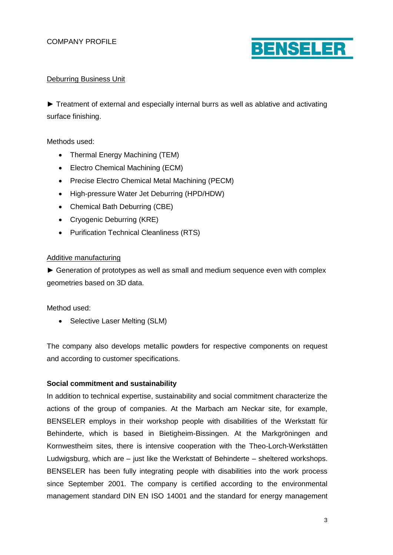

# Deburring Business Unit

► Treatment of external and especially internal burrs as well as ablative and activating surface finishing.

Methods used:

- Thermal Energy Machining (TEM)
- Electro Chemical Machining (ECM)
- Precise Electro Chemical Metal Machining (PECM)
- High-pressure Water Jet Deburring (HPD/HDW)
- Chemical Bath Deburring (CBE)
- Cryogenic Deburring (KRE)
- Purification Technical Cleanliness (RTS)

### Additive manufacturing

► Generation of prototypes as well as small and medium sequence even with complex geometries based on 3D data.

Method used:

• Selective Laser Melting (SLM)

The company also develops metallic powders for respective components on request and according to customer specifications.

## **Social commitment and sustainability**

In addition to technical expertise, sustainability and social commitment characterize the actions of the group of companies. At the Marbach am Neckar site, for example, BENSELER employs in their workshop people with disabilities of the Werkstatt für Behinderte, which is based in Bietigheim-Bissingen. At the Markgröningen and Kornwestheim sites, there is intensive cooperation with the Theo-Lorch-Werkstätten Ludwigsburg, which are – just like the Werkstatt of Behinderte – sheltered workshops. BENSELER has been fully integrating people with disabilities into the work process since September 2001. The company is certified according to the environmental management standard DIN EN ISO 14001 and the standard for energy management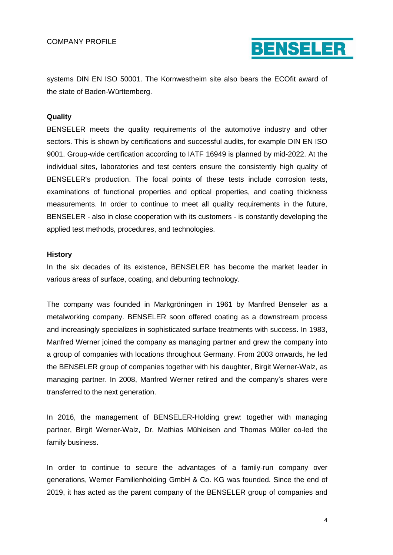COMPANY PROFILE



systems DIN EN ISO 50001. The Kornwestheim site also bears the ECOfit award of the state of Baden-Württemberg.

#### **Quality**

BENSELER meets the quality requirements of the automotive industry and other sectors. This is shown by certifications and successful audits, for example DIN EN ISO 9001. Group-wide certification according to IATF 16949 is planned by mid-2022. At the individual sites, laboratories and test centers ensure the consistently high quality of BENSELER's production. The focal points of these tests include corrosion tests, examinations of functional properties and optical properties, and coating thickness measurements. In order to continue to meet all quality requirements in the future, BENSELER - also in close cooperation with its customers - is constantly developing the applied test methods, procedures, and technologies.

#### **History**

In the six decades of its existence, BENSELER has become the market leader in various areas of surface, coating, and deburring technology.

The company was founded in Markgröningen in 1961 by Manfred Benseler as a metalworking company. BENSELER soon offered coating as a downstream process and increasingly specializes in sophisticated surface treatments with success. In 1983, Manfred Werner joined the company as managing partner and grew the company into a group of companies with locations throughout Germany. From 2003 onwards, he led the BENSELER group of companies together with his daughter, Birgit Werner-Walz, as managing partner. In 2008, Manfred Werner retired and the company's shares were transferred to the next generation.

In 2016, the management of BENSELER-Holding grew: together with managing partner, Birgit Werner-Walz, Dr. Mathias Mühleisen and Thomas Müller co-led the family business.

In order to continue to secure the advantages of a family-run company over generations, Werner Familienholding GmbH & Co. KG was founded. Since the end of 2019, it has acted as the parent company of the BENSELER group of companies and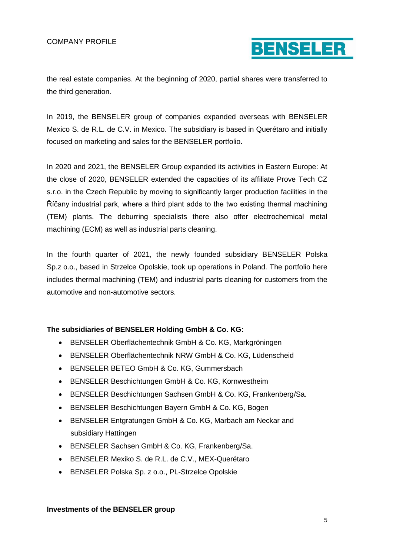

the real estate companies. At the beginning of 2020, partial shares were transferred to the third generation.

In 2019, the BENSELER group of companies expanded overseas with BENSELER Mexico S. de R.L. de C.V. in Mexico. The subsidiary is based in Querétaro and initially focused on marketing and sales for the BENSELER portfolio.

In 2020 and 2021, the BENSELER Group expanded its activities in Eastern Europe: At the close of 2020, BENSELER extended the capacities of its affiliate Prove Tech CZ s.r.o. in the Czech Republic by moving to significantly larger production facilities in the Říčany industrial park, where a third plant adds to the two existing thermal machining (TEM) plants. The deburring specialists there also offer electrochemical metal machining (ECM) as well as industrial parts cleaning.

In the fourth quarter of 2021, the newly founded subsidiary BENSELER Polska Sp.z o.o., based in Strzelce Opolskie, took up operations in Poland. The portfolio here includes thermal machining (TEM) and industrial parts cleaning for customers from the automotive and non-automotive sectors.

## **The subsidiaries of BENSELER Holding GmbH & Co. KG:**

- BENSELER Oberflächentechnik GmbH & Co. KG, Markgröningen
- BENSELER Oberflächentechnik NRW GmbH & Co. KG, Lüdenscheid
- BENSELER BETEO GmbH & Co. KG, Gummersbach
- BENSELER Beschichtungen GmbH & Co. KG, Kornwestheim
- BENSELER Beschichtungen Sachsen GmbH & Co. KG, Frankenberg/Sa.
- BENSELER Beschichtungen Bayern GmbH & Co. KG, Bogen
- BENSELER Entgratungen GmbH & Co. KG, Marbach am Neckar and subsidiary Hattingen
- BENSELER Sachsen GmbH & Co. KG, Frankenberg/Sa.
- BENSELER Mexiko S. de R.L. de C.V., MEX-Querétaro
- BENSELER Polska Sp. z o.o., PL-Strzelce Opolskie

#### **Investments of the BENSELER group**